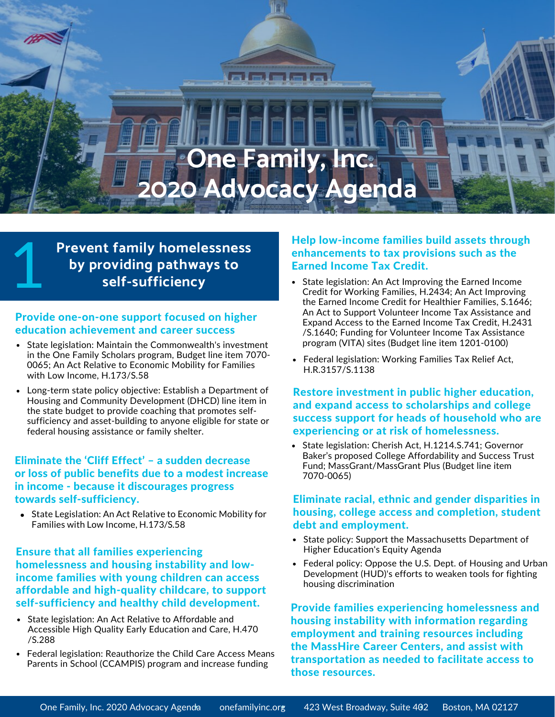

**Prevent family homelessness by** providing pathways to<br>self-sufficiency

#### Provide one-on-one support focused on higher education achievement and career success

- State legislation: Maintain the Commonwealth's investment in the One Family Scholars program, Budget line item 7070- 0065; An Act Relative to Economic Mobility for Families with Low Income, H.173/S.58
- Long-term state policy objective: Establish a Department of Housing and Community Development (DHCD) line item in the state budget to provide coaching that promotes selfsufficiency and asset-building to anyone eligible for state or federal housing assistance or family shelter.

## Eliminate the 'Cliff Effect' – a sudden decrease or loss of public benefits due to a modest increase in income - because it discourages progress towards self-sufficiency.

State Legislation: An Act Relative to Economic Mobility for Families with Low Income, H.173/S.58

# Ensure that all families experiencing homelessness and housing instability and lowincome families with young children can access affordable and high-quality childcare, to support self-sufficiency and healthy child development.

- State legislation: An Act Relative to Affordable and Accessible High Quality Early Education and Care, H.470 /S.288
- Federal legislation: Reauthorize the Child Care Access Means Parents in School (CCAMPIS) program and increase funding

## Help low-income families build assets through enhancements to tax provisions such as the Earned Income Tax Credit.

- State legislation: An Act Improving the Earned Income Credit for Working Families, H.2434; An Act Improving the Earned Income Credit for Healthier Families, S.1646; An Act to Support Volunteer Income Tax Assistance and Expand Access to the Earned Income Tax Credit, H.2431 /S.1640; Funding for Volunteer Income Tax Assistance program (VITA) sites (Budget line item 1201-0100)
- Federal legislation: Working Families Tax Relief Act, H.R.3157/S.1138

## Restore investment in public higher education, and expand access to scholarships and college success support for heads of household who are experiencing or at risk of homelessness.

• State legislation: Cherish Act, H.1214.S.741; Governor Baker's proposed College Affordability and Success Trust Fund; MassGrant/MassGrant Plus (Budget line item 7070-0065)

# Eliminate racial, ethnic and gender disparities in housing, college access and completion, student debt and employment.

- State policy: Support the Massachusetts Department of Higher Education's Equity Agenda
- Federal policy: Oppose the U.S. Dept. of Housing and Urban Development (HUD)'s efforts to weaken tools for fighting housing discrimination

Provide families experiencing homelessness and housing instability with information regarding employment and training resources including the MassHire Career Centers, and assist with transportation as needed to facilitate access to those resources.